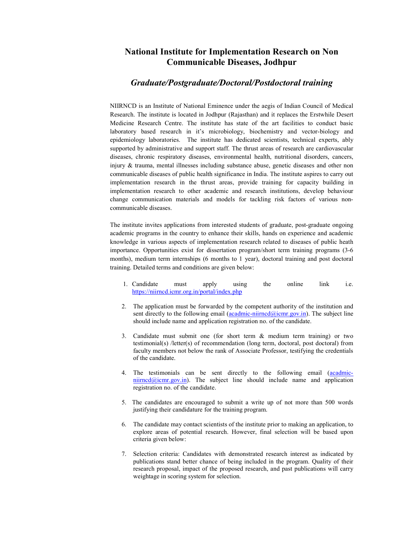## National Institute for Implementation Research on Non Communicable Diseases, Jodhpur

## Graduate/Postgraduate/Doctoral/Postdoctoral training

NIIRNCD is an Institute of National Eminence under the aegis of Indian Council of Medical Research. The institute is located in Jodhpur (Rajasthan) and it replaces the Erstwhile Desert Medicine Research Centre. The institute has state of the art facilities to conduct basic laboratory based research in it's microbiology, biochemistry and vector-biology and epidemiology laboratories. The institute has dedicated scientists, technical experts, ably supported by administrative and support staff. The thrust areas of research are cardiovascular diseases, chronic respiratory diseases, environmental health, nutritional disorders, cancers, injury & trauma, mental illnesses including substance abuse, genetic diseases and other non communicable diseases of public health significance in India. The institute aspires to carry out implementation research in the thrust areas, provide training for capacity building in implementation research to other academic and research institutions, develop behaviour change communication materials and models for tackling risk factors of various noncommunicable diseases.

The institute invites applications from interested students of graduate, post-graduate ongoing academic programs in the country to enhance their skills, hands on experience and academic knowledge in various aspects of implementation research related to diseases of public heath importance. Opportunities exist for dissertation program/short term training programs (3-6 months), medium term internships (6 months to 1 year), doctoral training and post doctoral training. Detailed terms and conditions are given below:

- 1. Candidate must apply using the online link i.e. https://niirncd.icmr.org.in/portal/index.php
- 2. The application must be forwarded by the competent authority of the institution and sent directly to the following email  $(a \cdot \text{cadmic-niimcd@icmr.gov.in})$ . The subject line should include name and application registration no. of the candidate.
- 3. Candidate must submit one (for short term & medium term training) or two testimonial(s) /letter(s) of recommendation (long term, doctoral, post doctoral) from faculty members not below the rank of Associate Professor, testifying the credentials of the candidate.
- 4. The testimonials can be sent directly to the following email (acadmic $n$ iirncd@icmr.gov.in). The subject line should include name and application registration no. of the candidate.
- 5. The candidates are encouraged to submit a write up of not more than 500 words justifying their candidature for the training program.
- 6. The candidate may contact scientists of the institute prior to making an application, to explore areas of potential research. However, final selection will be based upon criteria given below:
- 7. Selection criteria: Candidates with demonstrated research interest as indicated by publications stand better chance of being included in the program. Quality of their research proposal, impact of the proposed research, and past publications will carry weightage in scoring system for selection.